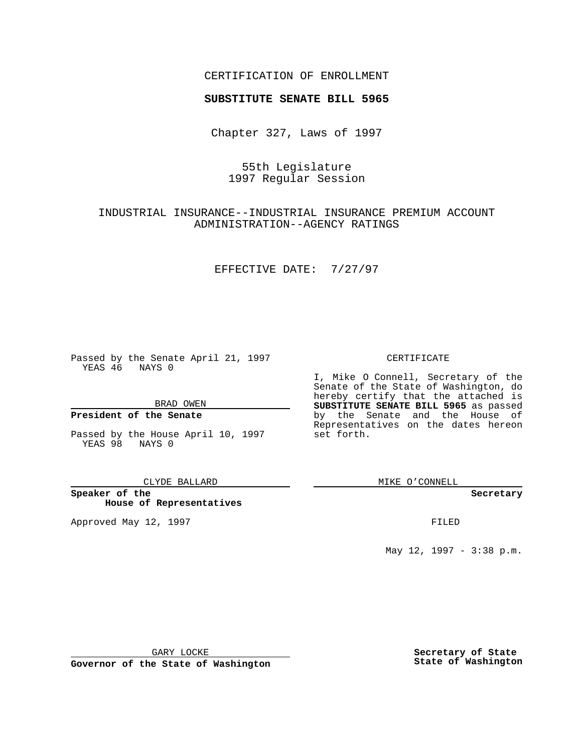## CERTIFICATION OF ENROLLMENT

# **SUBSTITUTE SENATE BILL 5965**

Chapter 327, Laws of 1997

# 55th Legislature 1997 Regular Session

## INDUSTRIAL INSURANCE--INDUSTRIAL INSURANCE PREMIUM ACCOUNT ADMINISTRATION--AGENCY RATINGS

### EFFECTIVE DATE: 7/27/97

Passed by the Senate April 21, 1997 YEAS 46 NAYS 0

BRAD OWEN

### **President of the Senate**

Passed by the House April 10, 1997 YEAS 98 NAYS 0

#### CLYDE BALLARD

**Speaker of the House of Representatives**

Approved May 12, 1997 **FILED** 

### CERTIFICATE

I, Mike O Connell, Secretary of the Senate of the State of Washington, do hereby certify that the attached is **SUBSTITUTE SENATE BILL 5965** as passed by the Senate and the House of Representatives on the dates hereon set forth.

MIKE O'CONNELL

#### **Secretary**

May 12, 1997 - 3:38 p.m.

GARY LOCKE

**Governor of the State of Washington**

**Secretary of State State of Washington**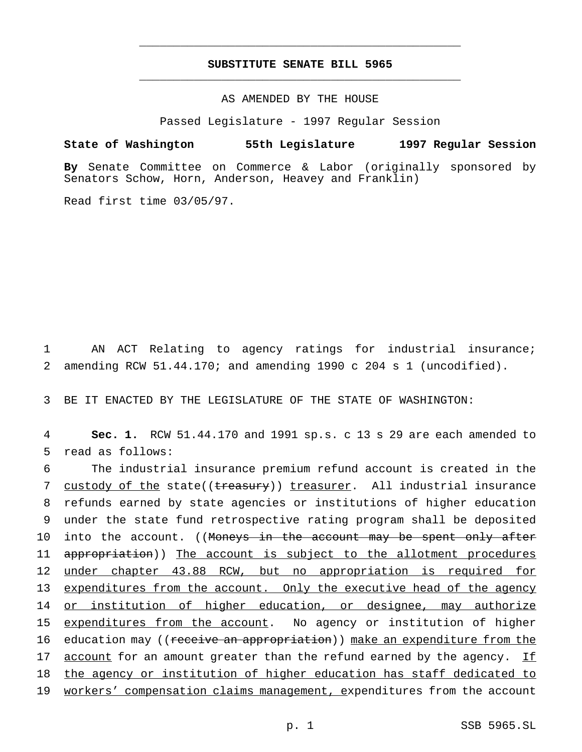## **SUBSTITUTE SENATE BILL 5965** \_\_\_\_\_\_\_\_\_\_\_\_\_\_\_\_\_\_\_\_\_\_\_\_\_\_\_\_\_\_\_\_\_\_\_\_\_\_\_\_\_\_\_\_\_\_\_

\_\_\_\_\_\_\_\_\_\_\_\_\_\_\_\_\_\_\_\_\_\_\_\_\_\_\_\_\_\_\_\_\_\_\_\_\_\_\_\_\_\_\_\_\_\_\_

## AS AMENDED BY THE HOUSE

Passed Legislature - 1997 Regular Session

### **State of Washington 55th Legislature 1997 Regular Session**

**By** Senate Committee on Commerce & Labor (originally sponsored by Senators Schow, Horn, Anderson, Heavey and Franklin)

Read first time 03/05/97.

1 AN ACT Relating to agency ratings for industrial insurance; 2 amending RCW 51.44.170; and amending 1990 c 204 s 1 (uncodified).

3 BE IT ENACTED BY THE LEGISLATURE OF THE STATE OF WASHINGTON:

4 **Sec. 1.** RCW 51.44.170 and 1991 sp.s. c 13 s 29 are each amended to 5 read as follows:

6 The industrial insurance premium refund account is created in the 7 custody of the state((treasury)) treasurer. All industrial insurance 8 refunds earned by state agencies or institutions of higher education 9 under the state fund retrospective rating program shall be deposited 10 into the account. ((Moneys in the account may be spent only after 11 appropriation)) The account is subject to the allotment procedures 12 under chapter 43.88 RCW, but no appropriation is required for 13 expenditures from the account. Only the executive head of the agency 14 or institution of higher education, or designee, may authorize 15 expenditures from the account. No agency or institution of higher 16 education may ((receive an appropriation)) make an expenditure from the 17  $\alpha$  account for an amount greater than the refund earned by the agency. If 18 the agency or institution of higher education has staff dedicated to 19 workers' compensation claims management, expenditures from the account